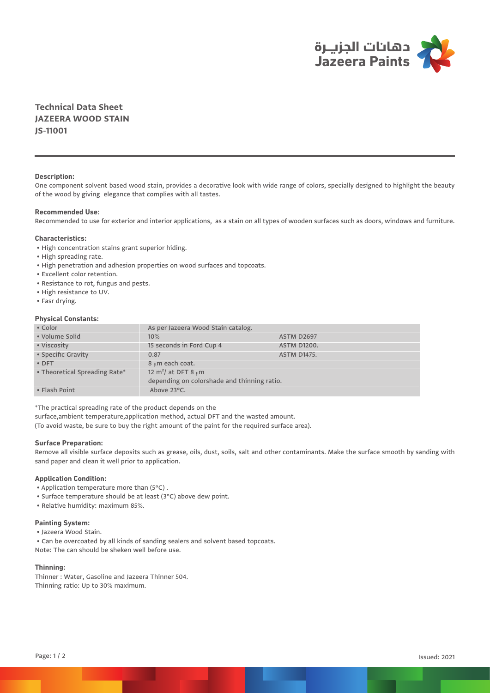

**Technical Data Sheet JAZEERA WOOD STAIN JS-11001**

# **Description:**

One component solvent based wood stain, provides a decorative look with wide range of colors, specially designed to highlight the beauty of the wood by giving elegance that complies with all tastes.

### **Recommended Use:**

Recommended to use for exterior and interior applications, as a stain on all types of wooden surfaces such as doors, windows and furniture.

## **Characteristics:**

- High concentration stains grant superior hiding.
- High spreading rate.
- High penetration and adhesion properties on wood surfaces and topcoats.
- Excellent color retention.
- Resistance to rot, fungus and pests.
- High resistance to UV.
- Fasr drying.

# **Physical Constants:**

| • Color                       | As per Jazeera Wood Stain catalog.                                                  |                    |
|-------------------------------|-------------------------------------------------------------------------------------|--------------------|
| • Volume Solid                | 10%                                                                                 | <b>ASTM D2697</b>  |
| • Viscosity                   | 15 seconds in Ford Cup 4                                                            | <b>ASTM D1200.</b> |
| • Specific Gravity            | 0.87                                                                                | <b>ASTM D1475.</b> |
| $\bullet$ DFT                 | 8 µm each coat.                                                                     |                    |
| • Theoretical Spreading Rate* | 12 m <sup>2</sup> / at DFT 8 $\mu$ m<br>depending on colorshade and thinning ratio. |                    |
|                               |                                                                                     |                    |
| • Flash Point                 | Above 23°C.                                                                         |                    |

\*The practical spreading rate of the product depends on the

surface,ambient temperature,application method, actual DFT and the wasted amount.

(To avoid waste, be sure to buy the right amount of the paint for the required surface area).

## **Surface Preparation:**

Remove all visible surface deposits such as grease, oils, dust, soils, salt and other contaminants. Make the surface smooth by sanding with sand paper and clean it well prior to application.

# **Application Condition:**

- Application temperature more than (5°C) .
- Surface temperature should be at least (3°C) above dew point.
- Relative humidity: maximum 85%.

## **Painting System:**

- Jazeera Wood Stain.
- Can be overcoated by all kinds of sanding sealers and solvent based topcoats.

Note: The can should be sheken well before use.

# **Thinning:**

Thinner : Water, Gasoline and Jazeera Thinner 504. Thinning ratio: Up to 30% maximum.